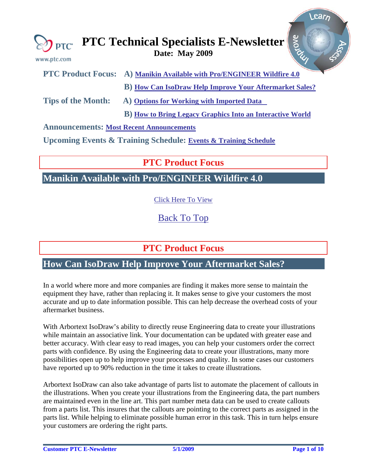<span id="page-0-0"></span>

| www.ptc.com | $\bigotimes_{\mathbf{PTC}}$ PTC Technical Specialists E-Newsletter $\left \frac{2}{5}\right $<br>Date: May 2009 |  |
|-------------|-----------------------------------------------------------------------------------------------------------------|--|
|             |                                                                                                                 |  |

|                                          | PTC Product Focus: A) Manikin Available with Pro/ENGINEER Wildfire 4.0 |  |  |  |
|------------------------------------------|------------------------------------------------------------------------|--|--|--|
|                                          | <b>B</b> ) How Can IsoDraw Help Improve Your Aftermarket Sales?        |  |  |  |
| <b>Tips of the Month:</b>                | A) Options for Working with Imported Data                              |  |  |  |
|                                          | <b>B</b> ) How to Bring Legacy Graphics Into an Interactive World      |  |  |  |
| Announcemental Meet Decent Announcements |                                                                        |  |  |  |

**Announcements: [Most Recent Announcements](#page-6-0)**

**Upcoming Events & Training Schedule: [Events & Training Schedule](#page-8-0)**

# **PTC Product Focus**

**Manikin Available with Pro/ENGINEER Wildfire 4.0** 

[Click Here To View](http://members.shaw.ca/jpeng/newsletter/PTC_Technical_Specialists_E-Newsletter_2009_05_desktop.pdf)

[Back To Top](#page-0-0)

# **PTC Product Focus**

# **How Can IsoDraw Help Improve Your Aftermarket Sales?**

In a world where more and more companies are finding it makes more sense to maintain the equipment they have, rather than replacing it. It makes sense to give your customers the most accurate and up to date information possible. This can help decrease the overhead costs of your aftermarket business.

With Arbortext IsoDraw's ability to directly reuse Engineering data to create your illustrations while maintain an associative link. Your documentation can be updated with greater ease and better accuracy. With clear easy to read images, you can help your customers order the correct parts with confidence. By using the Engineering data to create your illustrations, many more possibilities open up to help improve your processes and quality. In some cases our customers have reported up to 90% reduction in the time it takes to create illustrations.

Arbortext IsoDraw can also take advantage of parts list to automate the placement of callouts in the illustrations. When you create your illustrations from the Engineering data, the part numbers are maintained even in the line art. This part number meta data can be used to create callouts from a parts list. This insures that the callouts are pointing to the correct parts as assigned in the parts list. While helping to eliminate possible human error in this task. This in turn helps ensure your customers are ordering the right parts.

Learn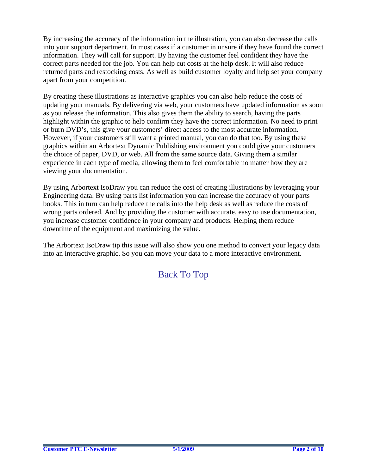By increasing the accuracy of the information in the illustration, you can also decrease the calls into your support department. In most cases if a customer in unsure if they have found the correct information. They will call for support. By having the customer feel confident they have the correct parts needed for the job. You can help cut costs at the help desk. It will also reduce returned parts and restocking costs. As well as build customer loyalty and help set your company apart from your competition.

By creating these illustrations as interactive graphics you can also help reduce the costs of updating your manuals. By delivering via web, your customers have updated information as soon as you release the information. This also gives them the ability to search, having the parts highlight within the graphic to help confirm they have the correct information. No need to print or burn DVD's, this give your customers' direct access to the most accurate information. However, if your customers still want a printed manual, you can do that too. By using these graphics within an Arbortext Dynamic Publishing environment you could give your customers the choice of paper, DVD, or web. All from the same source data. Giving them a similar experience in each type of media, allowing them to feel comfortable no matter how they are viewing your documentation.

By using Arbortext IsoDraw you can reduce the cost of creating illustrations by leveraging your Engineering data. By using parts list information you can increase the accuracy of your parts books. This in turn can help reduce the calls into the help desk as well as reduce the costs of wrong parts ordered. And by providing the customer with accurate, easy to use documentation, you increase customer confidence in your company and products. Helping them reduce downtime of the equipment and maximizing the value.

The Arbortext IsoDraw tip this issue will also show you one method to convert your legacy data into an interactive graphic. So you can move your data to a more interactive environment.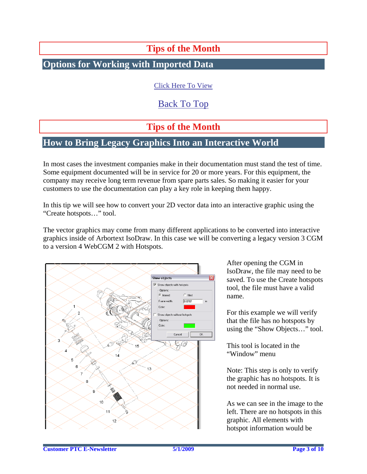# **Tips of the Month**

## <span id="page-2-0"></span>**Options for Working with Imported Data**

[Click Here To View](http://members.shaw.ca/jpeng/newsletter/PTC_Technical_Specialists_E-Newsletter_2009_05_desktop.pdf)

[Back To Top](#page-0-0)

# **Tips of the Month**

# **How to Bring Legacy Graphics Into an Interactive World**

In most cases the investment companies make in their documentation must stand the test of time. Some equipment documented will be in service for 20 or more years. For this equipment, the company may receive long term revenue from spare parts sales. So making it easier for your customers to use the documentation can play a key role in keeping them happy.

In this tip we will see how to convert your 2D vector data into an interactive graphic using the "Create hotspots…" tool.

The vector graphics may come from many different applications to be converted into interactive graphics inside of Arbortext IsoDraw. In this case we will be converting a legacy version 3 CGM to a version 4 WebCGM 2 with Hotspots.



After opening the CGM in IsoDraw, the file may need to be saved. To use the Create hotspots tool, the file must have a valid name.

For this example we will verify that the file has no hotspots by using the "Show Objects…" tool.

This tool is located in the "Window" menu

Note: This step is only to verify the graphic has no hotspots. It is not needed in normal use.

As we can see in the image to the left. There are no hotspots in this graphic. All elements with hotspot information would be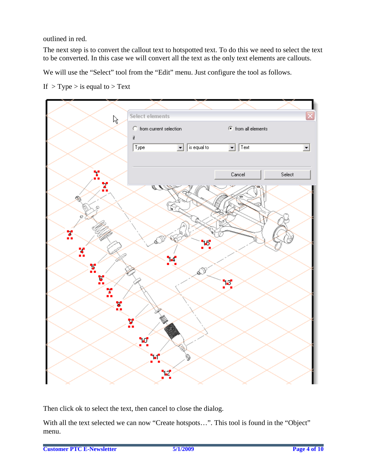outlined in red.

The next step is to convert the callout text to hotspotted text. To do this we need to select the text to be converted. In this case we will convert all the text as the only text elements are callouts.

We will use the "Select" tool from the "Edit" menu. Just configure the tool as follows.

If  $>$  Type  $>$  is equal to  $>$  Text



Then click ok to select the text, then cancel to close the dialog.

With all the text selected we can now "Create hotspots…". This tool is found in the "Object" menu.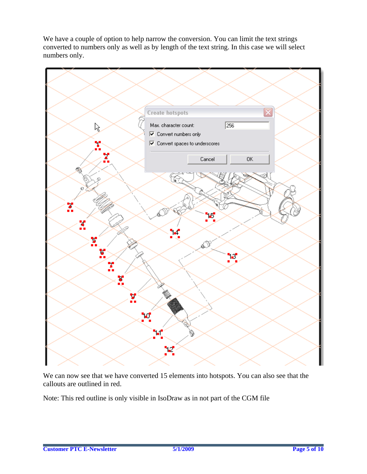We have a couple of option to help narrow the conversion. You can limit the text strings converted to numbers only as well as by length of the text string. In this case we will select numbers only.



We can now see that we have converted 15 elements into hotspots. You can also see that the callouts are outlined in red.

Note: This red outline is only visible in IsoDraw as in not part of the CGM file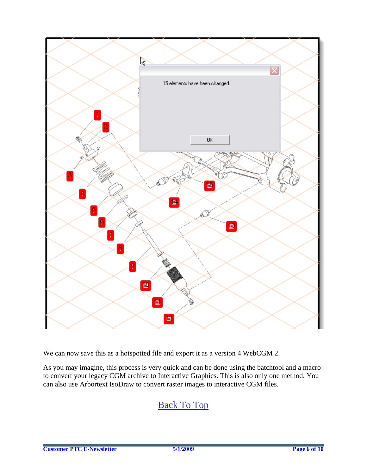

We can now save this as a hotspotted file and export it as a version 4 WebCGM 2.

As you may imagine, this process is very quick and can be done using the batchtool and a macro to convert your legacy CGM archive to Interactive Graphics. This is also only one method. You can also use Arbortext IsoDraw to convert raster images to interactive CGM files.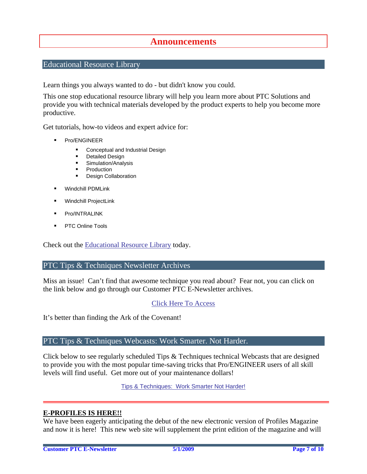## **Announcements**

## <span id="page-6-0"></span>Educational Resource Library

Learn things you always wanted to do - but didn't know you could.

This one stop educational resource library will help you learn more about PTC Solutions and provide you with technical materials developed by the product experts to help you become more productive.

Get tutorials, how-to videos and expert advice for:

- **Pro/ENGINEER** 
	- **EXECONCEPT** Conceptual and Industrial Design
	- **•** Detailed Design
	- **Simulation/Analysis**
	- Production
	- Design Collaboration
- Windchill PDMLink
- Windchill ProjectLink
- Pro/INTRALINK
- PTC Online Tools

Check out the [Educational Resource Library](http://www.ptc.com/community/proewf/newtools/tutorials.htm) today.

#### PTC Tips & Techniques Newsletter Archives

Miss an issue! Can't find that awesome technique you read about? Fear not, you can click on the link below and go through our Customer PTC E-Newsletter archives.

## [Click Here To Access](http://www.ptc.com/carezone/archive/index.htm)

It's better than finding the Ark of the Covenant!

## PTC Tips & Techniques Webcasts: Work Smarter. Not Harder.

Click below to see regularly scheduled Tips & Techniques technical Webcasts that are designed to provide you with the most popular time-saving tricks that Pro/ENGINEER users of all skill levels will find useful. Get more out of your maintenance dollars!

[Tips & Techniques: Work Smarter Not Harder!](http://www.ptc.com/appserver/it/icm/cda/template_lib/events/series.jsp?&im_dbkey=11442&icg_dbkey=141)

## **E-PROFILES IS HERE!!**

We have been eagerly anticipating the debut of the new electronic version of Profiles Magazine and now it is here! This new web site will supplement the print edition of the magazine and will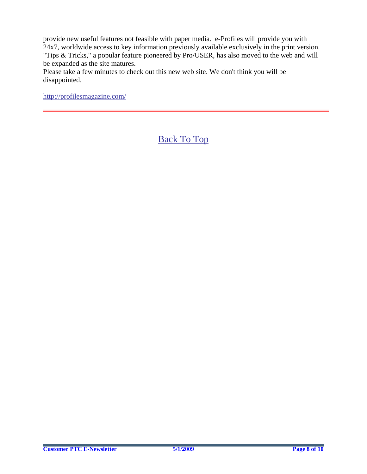provide new useful features not feasible with paper media. e-Profiles will provide you with 24x7, worldwide access to key information previously available exclusively in the print version. "Tips & Tricks," a popular feature pioneered by Pro/USER, has also moved to the web and will be expanded as the site matures.

Please take a few minutes to check out this new web site. We don't think you will be disappointed.

<http://profilesmagazine.com/>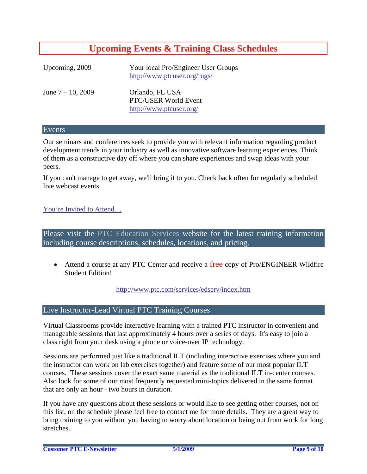# **Upcoming Events & Training Class Schedules**

<span id="page-8-0"></span>

| Upcoming, 2009       | Your local Pro/Engineer User Groups<br>http://www.ptcuser.org/rugs/ |
|----------------------|---------------------------------------------------------------------|
| June $7 - 10$ , 2009 | Orlando, FL USA<br>PTC/USER World Event<br>http://www.ptcuser.org/  |

### Events

Our seminars and conferences seek to provide you with relevant information regarding product development trends in your industry as well as innovative software learning experiences. Think of them as a constructive day off where you can share experiences and swap ideas with your peers.

If you can't manage to get away, we'll bring it to you. Check back often for regularly scheduled live webcast events.

## [You're Invited to Attend…](http://www.ptc.com/company/news/events/index.htm)

Please visit the [PTC Education Services](http://www.ptc.com/services/edserv/) website for the latest training information including course descriptions, schedules, locations, and pricing.

• Attend a course at any PTC Center and receive a free copy of Pro/ENGINEER Wildfire Student Edition!

<http://www.ptc.com/services/edserv/index.htm>

## Live Instructor-Lead Virtual PTC Training Courses

Virtual Classrooms provide interactive learning with a trained PTC instructor in convenient and manageable sessions that last approximately 4 hours over a series of days. It's easy to join a class right from your desk using a phone or voice-over IP technology.

Sessions are performed just like a traditional ILT (including interactive exercises where you and the instructor can work on lab exercises together) and feature some of our most popular ILT courses. These sessions cover the exact same material as the traditional ILT in-center courses. Also look for some of our most frequently requested mini-topics delivered in the same format that are only an hour - two hours in duration.

If you have any questions about these sessions or would like to see getting other courses, not on this list, on the schedule please feel free to contact me for more details. They are a great way to bring training to you without you having to worry about location or being out from work for long stretches.